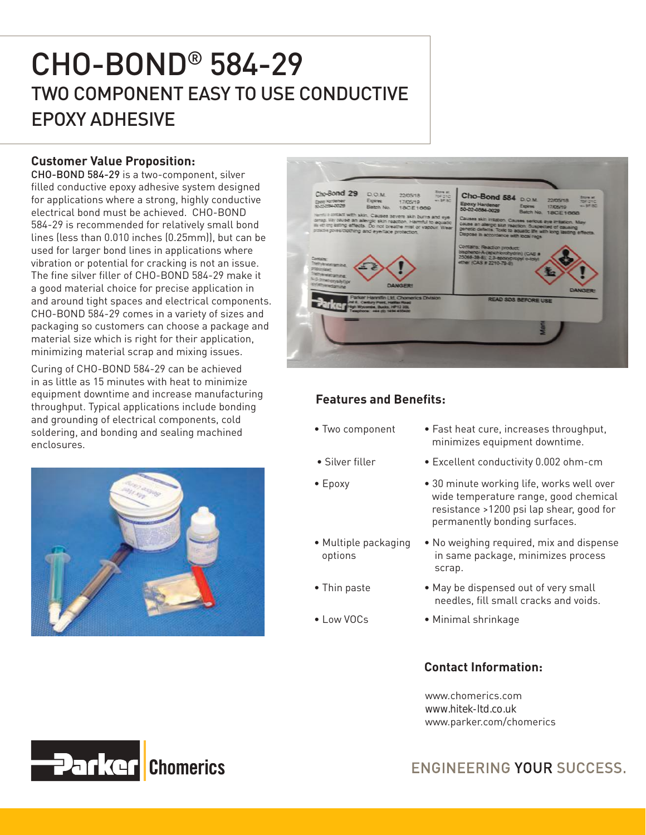# CHO-BOND® 584-29 TWO COMPONENT EASY TO USE CONDUCTIVE EPOXY ADHESIVE

### **Customer Value Proposition:**

CHO-BOND 584-29 is a two-component, silver filled conductive epoxy adhesive system designed for applications where a strong, highly conductive electrical bond must be achieved. CHO-BOND 584-29 is recommended for relatively small bond lines (less than 0.010 inches (0.25mm)), but can be used for larger bond lines in applications where vibration or potential for cracking is not an issue. The fine silver filler of CHO-BOND 584-29 make it a good material choice for precise application in and around tight spaces and electrical components. CHO-BOND 584-29 comes in a variety of sizes and packaging so customers can choose a package and material size which is right for their application, minimizing material scrap and mixing issues.

Curing of CHO-BOND 584-29 can be achieved in as little as 15 minutes with heat to minimize equipment downtime and increase manufacturing throughput. Typical applications include bonding and grounding of electrical components, cold soldering, and bonding and sealing machined enclosures.





## **Features and Benefits:**

- Two component Fast heat cure, increases throughput, minimizes equipment downtime.
- 
- 
- Multiple packaging options
- 
- 
- Silver filler Excellent conductivity 0.002 ohm-cm
- Epoxy 30 minute working life, works well over wide temperature range, good chemical resistance >1200 psi lap shear, good for permanently bonding surfaces.
	- No weighing required, mix and dispense in same package, minimizes process scrap.
- Thin paste May be dispensed out of very small needles, fill small cracks and voids.
- Low VOCs Minimal shrinkage

#### **Contact Information:**

www.chomerics.com www.hitek-ltd.co.uk www.parker.com/chomerics



ENGINEERING YOUR SUCCESS.